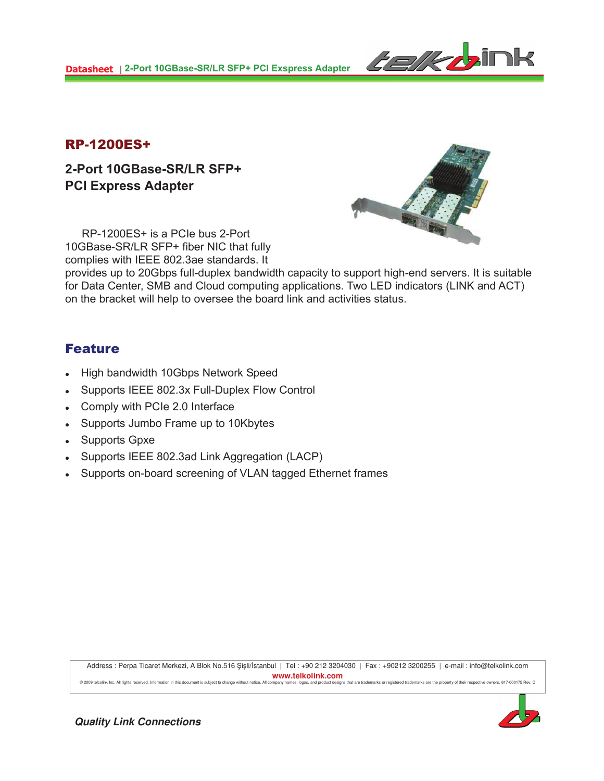

## RP-1200ES+

**2-Port 10GBase-SR/LR SFP+ PCI Express Adapter** 



RP-1200ES+ is a PCIe bus 2-Port 10GBase-SR/LR SFP+ fiber NIC that fully complies with IEEE 802.3ae standards. It

provides up to 20Gbps full-duplex bandwidth capacity to support high-end servers. It is suitable for Data Center, SMB and Cloud computing applications. Two LED indicators (LINK and ACT) on the bracket will help to oversee the board link and activities status.

## Feature

- High bandwidth 10Gbps Network Speed
- Supports IEEE 802.3x Full-Duplex Flow Control
- Comply with PCIe 2.0 Interface
- Supports Jumbo Frame up to 10Kbytes
- Supports Gpxe
- Supports IEEE 802.3ad Link Aggregation (LACP)
- Supports on-board screening of VLAN tagged Ethernet frames

Address : Perpa Ticaret Merkezi, A Blok No.516 Şişli/İstanbul | Tel : +90 212 3204030 | Fax : +90212 3200255 | e-mail : info@telkolink.com **www.telkolink.com** @ 2009 telcolink Inc. All rights rese